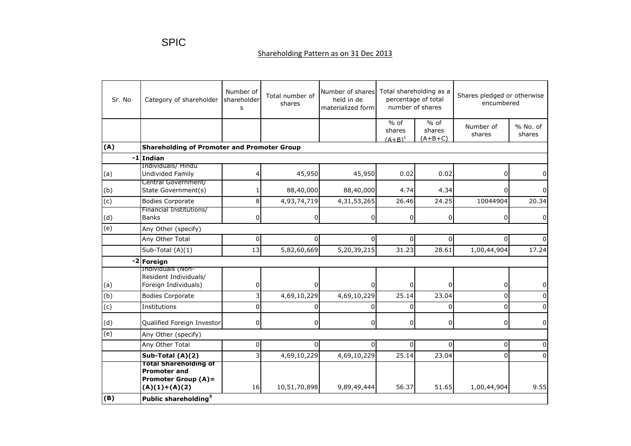## Shareholding Pattern as on 31 Dec 2013

| Sr. No         | Category of shareholder                                                                              | Number of<br>shareholder<br>s | Total number of<br>shares | Number of shares<br>held in de<br>materialized form | Total shareholding as a<br>percentage of total<br>number of shares |                               | Shares pledged or otherwise<br>encumbered |                    |  |
|----------------|------------------------------------------------------------------------------------------------------|-------------------------------|---------------------------|-----------------------------------------------------|--------------------------------------------------------------------|-------------------------------|-------------------------------------------|--------------------|--|
|                |                                                                                                      |                               |                           |                                                     | $%$ of<br>shares<br>$(A+B)^1$                                      | $%$ of<br>shares<br>$(A+B+C)$ | Number of<br>shares                       | % No. of<br>shares |  |
| (A)            | <b>Shareholding of Promoter and Promoter Group</b>                                                   |                               |                           |                                                     |                                                                    |                               |                                           |                    |  |
| -1             | Indian                                                                                               |                               |                           |                                                     |                                                                    |                               |                                           |                    |  |
| (a)            | Individuals/ Hindu<br>Undivided Family                                                               |                               | 45,950                    | 45,950                                              | 0.02                                                               | 0.02                          | 0                                         |                    |  |
| (b)            | Central Government/<br>State Government(s)                                                           |                               | 88,40,000                 | 88,40,000                                           | 4.74                                                               | 4.34                          | $\mathbf{0}$                              |                    |  |
| $\overline{c}$ | <b>Bodies Corporate</b>                                                                              | 8                             | 4,93,74,719               | 4,31,53,265                                         | 26.46                                                              | 24.25                         | 10044904                                  | 20.34              |  |
| (d)            | Financial Institutions/<br><b>Banks</b>                                                              | 0                             | 0                         | 0                                                   | $\overline{0}$                                                     | 0                             | 0                                         | 0                  |  |
| $\overline{e}$ | Any Other (specify)                                                                                  |                               |                           |                                                     |                                                                    |                               |                                           |                    |  |
|                | Any Other Total                                                                                      | 0                             | $\Omega$                  | $\Omega$                                            | $\Omega$                                                           | $\Omega$                      | 0                                         |                    |  |
|                | Sub-Total (A)(1)                                                                                     | 13                            | 5,82,60,669               | 5,20,39,215                                         | 31.23                                                              | 28.61                         | 1,00,44,904                               | 17.24              |  |
|                | -2 Foreign                                                                                           |                               |                           |                                                     |                                                                    |                               |                                           |                    |  |
| (a)            | Individuals (Non-<br>Resident Individuals/<br>Foreign Individuals)                                   | 0                             | $\overline{0}$            | $\Omega$                                            | $\Omega$                                                           | 0                             | 0                                         | 0                  |  |
| (b)            | <b>Bodies Corporate</b>                                                                              | 3                             | 4,69,10,229               | 4,69,10,229                                         | $\overline{2}$ 5.14                                                | 23.04                         | $\Omega$                                  |                    |  |
| (c)            | Institutions                                                                                         | $\Omega$                      | $\Omega$                  | 0                                                   | $\Omega$                                                           | $\Omega$                      | $\Omega$                                  |                    |  |
| (d)            | Qualified Foreign Investor                                                                           | $\overline{0}$                | $\overline{0}$            | $\Omega$                                            | $\Omega$                                                           | 0                             | 0                                         | <sup>0</sup>       |  |
| (e)            | Any Other (specify)                                                                                  |                               |                           |                                                     |                                                                    |                               |                                           |                    |  |
|                | Any Other Total                                                                                      | 0                             | 0                         | $\Omega$                                            | 0                                                                  | $\Omega$                      | 0                                         | <sup>0</sup>       |  |
|                | Sub-Total (A)(2)                                                                                     | $\overline{3}$                | 4,69,10,229               | 4,69,10,229                                         | 25.14                                                              | 23.04                         | $\Omega$                                  |                    |  |
|                | <b>Total Shareholding of</b><br><b>Promoter and</b><br><b>Promoter Group (A)=</b><br>$(A)(1)+(A)(2)$ | 16                            | 10,51,70,898              | 9,89,49,444                                         | 56.37                                                              | 51.65                         | 1,00,44,904                               | 9.55               |  |
| (B)            | Public shareholding <sup>3</sup>                                                                     |                               |                           |                                                     |                                                                    |                               |                                           |                    |  |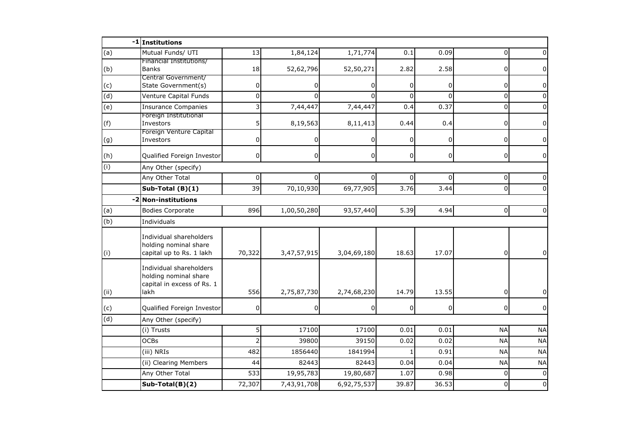|            | -1 Institutions                                                                        |                |                |                |              |                |                |                |
|------------|----------------------------------------------------------------------------------------|----------------|----------------|----------------|--------------|----------------|----------------|----------------|
| (a)        | Mutual Funds/ UTI                                                                      | 13             | 1,84,124       | 1,71,774       | 0.1          | 0.09           | $\Omega$       |                |
| (b)        | Financial Institutions/<br><b>Banks</b>                                                | 18             | 52,62,796      | 52,50,271      | 2.82         | 2.58           | 0              | U              |
| (c)        | Central Government/<br>State Government(s)                                             | 0              | 0              | 0              | 0            | $\mathbf 0$    | 0              | 0              |
| (d)        | Venture Capital Funds                                                                  | $\Omega$       | $\Omega$       | $\Omega$       | $\Omega$     | $\Omega$       | $\Omega$       | <sup>0</sup>   |
| (e)        | <b>Insurance Companies</b>                                                             | 3              | 7,44,447       | 7,44,447       | 0.4          | 0.37           | 0              |                |
| (f)        | Foreign Institutional<br>Investors                                                     | 5              | 8,19,563       | 8,11,413       | 0.44         | 0.4            | 0              | $\Omega$       |
| (g)        | Foreign Venture Capital<br>Investors                                                   | 0              |                | 0              | 0            | $\mathbf 0$    | 0              | 0              |
| (h)        | Qualified Foreign Investor                                                             | $\mathbf 0$    | $\overline{0}$ | $\overline{0}$ | $\mathsf{o}$ | $\overline{0}$ | 0              | 0              |
| (i)        | Any Other (specify)                                                                    |                |                |                |              |                |                |                |
|            | Any Other Total                                                                        | 0              |                | $\Omega$       | 0            | $\Omega$       | 0              |                |
|            | Sub-Total (B)(1)                                                                       | 39             | 70,10,930      | 69,77,905      | 3.76         | 3.44           | $\mathbf 0$    |                |
| -2         | <b>Non-institutions</b>                                                                |                |                |                |              |                |                |                |
| (a)        | <b>Bodies Corporate</b>                                                                | 896            | 1,00,50,280    | 93,57,440      | 5.39         | 4.94           | $\overline{0}$ | <sup>0</sup>   |
| (b)        | Individuals                                                                            |                |                |                |              |                |                |                |
| (i)        | Individual shareholders<br>holding nominal share<br>capital up to Rs. 1 lakh           | 70,322         | 3,47,57,915    | 3,04,69,180    | 18.63        | 17.07          | $\overline{0}$ | $\overline{0}$ |
| (i)        | Individual shareholders<br>holding nominal share<br>capital in excess of Rs. 1<br>lakh | 556            | 2,75,87,730    | 2,74,68,230    | 14.79        | 13.55          | 0              |                |
|            | Qualified Foreign Investor                                                             | 0              | 0              | 0              | 0            | $\overline{0}$ | 0              | $\overline{0}$ |
| (c)<br>(d) |                                                                                        |                |                |                |              |                |                |                |
|            | Any Other (specify)<br>(i) Trusts                                                      | 5              | 17100          | 17100          | 0.01         | 0.01           | <b>NA</b>      | <b>NA</b>      |
|            | <b>OCBs</b>                                                                            | $\overline{2}$ | 39800          | 39150          | 0.02         | 0.02           | <b>NA</b>      | <b>NA</b>      |
|            | (iii) NRIs                                                                             | 482            | 1856440        | 1841994        |              | 0.91           | <b>NA</b>      | <b>NA</b>      |
|            | (ii) Clearing Members                                                                  | 44             | 82443          | 82443          | 0.04         | 0.04           | <b>NA</b>      | <b>NA</b>      |
|            | Any Other Total                                                                        | 533            | 19,95,783      | 19,80,687      | 1.07         | 0.98           | $\Omega$       | $\Omega$       |
|            | Sub-Total(B)(2)                                                                        | 72,307         | 7,43,91,708    | 6,92,75,537    | 39.87        | 36.53          | $\Omega$       | $\Omega$       |
|            |                                                                                        |                |                |                |              |                |                |                |